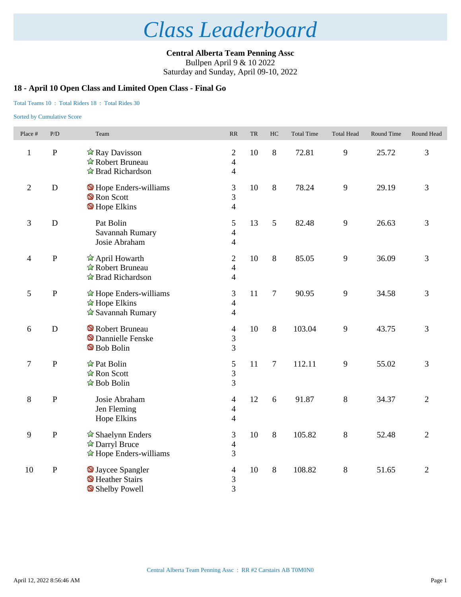**Central Alberta Team Penning Assc** Bullpen April 9 & 10 2022

Saturday and Sunday, April 09-10, 2022

### **18 - April 10 Open Class and Limited Open Class - Final Go**

#### Total Teams 10 : Total Riders 18 : Total Rides 30

| Place #          | P/D          | Team                                                                                                          | RR                                                           | <b>TR</b> | HC             | <b>Total Time</b> | <b>Total Head</b> | Round Time | Round Head     |
|------------------|--------------|---------------------------------------------------------------------------------------------------------------|--------------------------------------------------------------|-----------|----------------|-------------------|-------------------|------------|----------------|
| $\mathbf{1}$     | ${\bf P}$    | $\hat{\mathbb{Z}}$ Ray Davisson<br>Robert Bruneau<br>$\triangle$ Brad Richardson                              | $\mathbf{2}$<br>$\overline{4}$<br>$\overline{4}$             | 10        | $8\,$          | 72.81             | 9                 | 25.72      | 3              |
| $\overline{2}$   | D            | Hope Enders-williams<br>Ron Scott<br>Hope Elkins                                                              | 3<br>3<br>$\overline{4}$                                     | 10        | $8\,$          | 78.24             | 9                 | 29.19      | 3              |
| $\mathfrak{Z}$   | D            | Pat Bolin<br>Savannah Rumary<br>Josie Abraham                                                                 | 5<br>$\overline{4}$<br>$\overline{4}$                        | 13        | 5              | 82.48             | 9                 | 26.63      | 3              |
| $\overline{4}$   | ${\bf P}$    | $\hat{\mathbb{Z}}$ April Howarth<br>☆ Robert Bruneau<br>$\hat{\mathbb{Z}}$ Brad Richardson                    | $\overline{2}$<br>$\overline{4}$<br>$\overline{4}$           | 10        | $\,8\,$        | 85.05             | 9                 | 36.09      | 3              |
| 5                | ${\bf P}$    | $\hat{\mathbb{Z}}$ Hope Enders-williams<br>$\triangle$ Hope Elkins<br>$\hat{\mathbf{\times}}$ Savannah Rumary | 3<br>$\overline{4}$<br>$\overline{4}$                        | 11        | $\overline{7}$ | 90.95             | 9                 | 34.58      | 3              |
| 6                | D            | Robert Bruneau<br><b>S</b> Dannielle Fenske<br>Bob Bolin                                                      | $\overline{4}$<br>3<br>3                                     | 10        | 8              | 103.04            | 9                 | 43.75      | 3              |
| $\boldsymbol{7}$ | $\mathbf{P}$ | $\hat{\mathbf{r}}$ Pat Bolin<br>$\hat{\mathbb{Z}}$ Ron Scott<br>$\hat{z}$ Bob Bolin                           | 5<br>3<br>3                                                  | 11        | $\overline{7}$ | 112.11            | 9                 | 55.02      | 3              |
| $8\,$            | ${\bf P}$    | Josie Abraham<br>Jen Fleming<br>Hope Elkins                                                                   | 4<br>$\overline{4}$<br>$\overline{4}$                        | 12        | 6              | 91.87             | $8\,$             | 34.37      | $\overline{2}$ |
| 9                | ${\bf P}$    | $\triangle$ Shaelynn Enders<br>$\triangle$ Darryl Bruce<br>$\triangle$ Hope Enders-williams                   | 3<br>$\overline{4}$<br>3                                     | 10        | 8              | 105.82            | $8\,$             | 52.48      | $\overline{2}$ |
| 10               | ${\bf P}$    | S Jaycee Spangler<br>Heather Stairs<br>Shelby Powell                                                          | $\overline{\mathcal{A}}$<br>$\mathfrak{Z}$<br>$\overline{3}$ | 10        | $\,8\,$        | 108.82            | $8\,$             | 51.65      | $\overline{2}$ |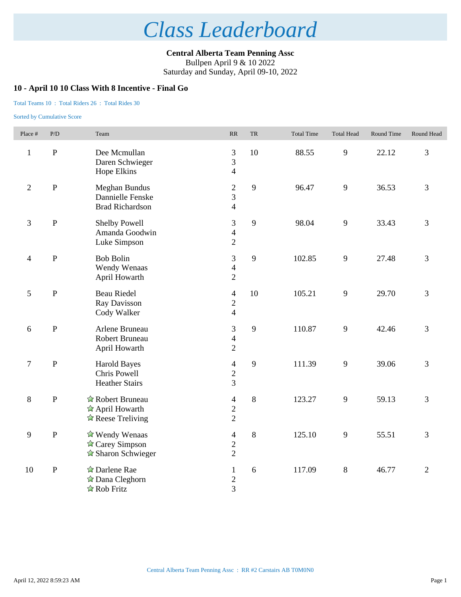**Central Alberta Team Penning Assc** Bullpen April 9 & 10 2022

Saturday and Sunday, April 09-10, 2022

### **10 - April 10 10 Class With 8 Incentive - Final Go**

#### Total Teams 10 : Total Riders 26 : Total Rides 30

| Place #        | P/D          | Team                                                                              | $\ensuremath{\mathsf{RR}}\xspace$                            | ${\rm TR}$ | <b>Total Time</b> | <b>Total Head</b> | Round Time | Round Head     |
|----------------|--------------|-----------------------------------------------------------------------------------|--------------------------------------------------------------|------------|-------------------|-------------------|------------|----------------|
| $\mathbf{1}$   | $\, {\bf P}$ | Dee Mcmullan<br>Daren Schwieger<br><b>Hope Elkins</b>                             | 3<br>3<br>$\overline{4}$                                     | 10         | 88.55             | 9                 | 22.12      | $\overline{3}$ |
| $\overline{2}$ | ${\bf P}$    | Meghan Bundus<br>Dannielle Fenske<br><b>Brad Richardson</b>                       | $\overline{c}$<br>3<br>$\overline{4}$                        | 9          | 96.47             | 9                 | 36.53      | $\overline{3}$ |
| $\mathfrak{Z}$ | ${\bf P}$    | Shelby Powell<br>Amanda Goodwin<br>Luke Simpson                                   | 3<br>$\overline{\mathbf{4}}$<br>$\overline{2}$               | 9          | 98.04             | 9                 | 33.43      | $\mathfrak{Z}$ |
| $\overline{4}$ | ${\bf P}$    | <b>Bob Bolin</b><br>Wendy Wenaas<br>April Howarth                                 | 3<br>$\overline{\mathbf{4}}$<br>$\overline{2}$               | 9          | 102.85            | 9                 | 27.48      | 3              |
| 5              | ${\bf P}$    | <b>Beau Riedel</b><br>Ray Davisson<br>Cody Walker                                 | $\overline{4}$<br>$\overline{c}$<br>$\overline{4}$           | 10         | 105.21            | 9                 | 29.70      | $\overline{3}$ |
| 6              | ${\bf P}$    | Arlene Bruneau<br>Robert Bruneau<br>April Howarth                                 | 3<br>$\overline{\mathbf{4}}$<br>$\overline{2}$               | 9          | 110.87            | 9                 | 42.46      | 3              |
| $\tau$         | ${\bf P}$    | <b>Harold Bayes</b><br>Chris Powell<br><b>Heather Stairs</b>                      | $\overline{4}$<br>$\overline{c}$<br>3                        | 9          | 111.39            | 9                 | 39.06      | $\overline{3}$ |
| $8\,$          | ${\bf P}$    | Robert Bruneau<br>$\hat{\mathbb{Z}}$ April Howarth<br>$\triangle$ Reese Treliving | $\overline{\mathcal{L}}$<br>$\overline{c}$<br>$\overline{2}$ | $\,8\,$    | 123.27            | 9                 | 59.13      | $\overline{3}$ |
| 9              | $\mathbf{P}$ | ☆ Wendy Wenaas<br>☆ Carey Simpson<br>$\triangle$ Sharon Schwieger                 | $\overline{\mathcal{A}}$<br>$\overline{c}$<br>$\overline{2}$ | $\,8\,$    | 125.10            | 9                 | 55.51      | 3              |
| 10             | ${\bf P}$    | ☆ Darlene Rae<br>☆ Dana Cleghorn<br>$\hat{z}$ Rob Fritz                           | $\mathbf{1}$<br>$\overline{c}$<br>$\overline{3}$             | $6\,$      | 117.09            | $\,8\,$           | 46.77      | $\overline{2}$ |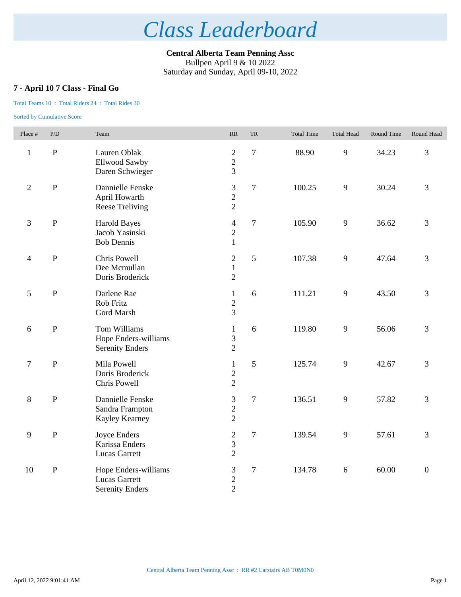**Central Alberta Team Penning Assc** Bullpen April 9 & 10 2022

Saturday and Sunday, April 09-10, 2022

### **7 - April 10 7 Class - Final Go**

#### Total Teams 10 : Total Riders 24 : Total Rides 30

| Place #          | P/D          | Team                                                                   | RR                                                 | <b>TR</b>        | <b>Total Time</b> | <b>Total Head</b> | Round Time | Round Head       |
|------------------|--------------|------------------------------------------------------------------------|----------------------------------------------------|------------------|-------------------|-------------------|------------|------------------|
| $\mathbf{1}$     | $\, {\bf P}$ | Lauren Oblak<br>Ellwood Sawby<br>Daren Schwieger                       | $\sqrt{2}$<br>$\overline{2}$<br>$\overline{3}$     | $\overline{7}$   | 88.90             | 9                 | 34.23      | 3                |
| $\overline{2}$   | $\, {\bf P}$ | Dannielle Fenske<br>April Howarth<br>Reese Treliving                   | 3<br>$\overline{2}$<br>$\overline{2}$              | $\overline{7}$   | 100.25            | 9                 | 30.24      | $\overline{3}$   |
| 3                | ${\bf P}$    | <b>Harold Bayes</b><br>Jacob Yasinski<br><b>Bob Dennis</b>             | $\overline{4}$<br>$\sqrt{2}$<br>$\mathbf{1}$       | $\overline{7}$   | 105.90            | 9                 | 36.62      | $\mathfrak{Z}$   |
| $\overline{4}$   | $\, {\bf P}$ | Chris Powell<br>Dee Mcmullan<br>Doris Broderick                        | $\mathbf{2}$<br>$\mathbf{1}$<br>$\overline{2}$     | 5                | 107.38            | 9                 | 47.64      | 3                |
| 5                | ${\bf P}$    | Darlene Rae<br>Rob Fritz<br>Gord Marsh                                 | $\mathbf{1}$<br>$\overline{c}$<br>$\overline{3}$   | 6                | 111.21            | 9                 | 43.50      | 3                |
| 6                | $\mathbf{P}$ | Tom Williams<br>Hope Enders-williams<br><b>Serenity Enders</b>         | $\mathbf{1}$<br>$\mathfrak{Z}$<br>$\overline{2}$   | 6                | 119.80            | 9                 | 56.06      | 3                |
| $\boldsymbol{7}$ | $\mathbf{P}$ | Mila Powell<br>Doris Broderick<br>Chris Powell                         | $\mathbf{1}$<br>$\overline{2}$<br>$\overline{2}$   | 5                | 125.74            | 9                 | 42.67      | $\overline{3}$   |
| 8                | ${\bf P}$    | Dannielle Fenske<br>Sandra Frampton<br>Kayley Kearney                  | $\mathfrak{Z}$<br>$\overline{2}$<br>$\overline{2}$ | $\tau$           | 136.51            | 9                 | 57.82      | $\overline{3}$   |
| 9                | $\, {\bf P}$ | Joyce Enders<br>Karissa Enders<br><b>Lucas Garrett</b>                 | $\mathbf 2$<br>3<br>$\overline{2}$                 | $\boldsymbol{7}$ | 139.54            | 9                 | 57.61      | 3                |
| 10               | $\, {\bf P}$ | Hope Enders-williams<br><b>Lucas Garrett</b><br><b>Serenity Enders</b> | $\mathfrak{Z}$<br>$\overline{2}$<br>$\overline{2}$ | $\boldsymbol{7}$ | 134.78            | 6                 | 60.00      | $\boldsymbol{0}$ |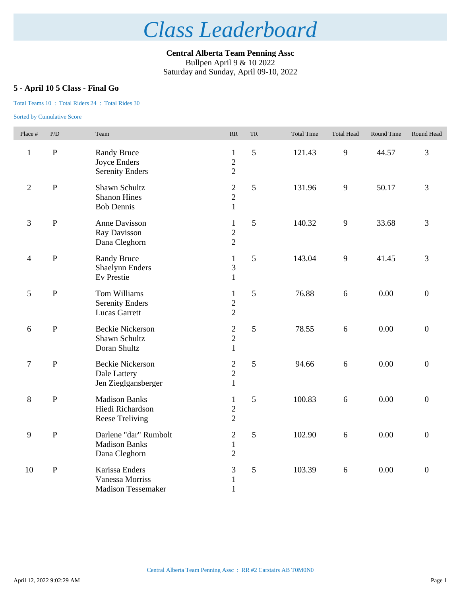**Central Alberta Team Penning Assc** Bullpen April 9 & 10 2022

Saturday and Sunday, April 09-10, 2022

### **5 - April 10 5 Class - Final Go**

#### Total Teams 10 : Total Riders 24 : Total Rides 30

| Place #                  | P/D            | Team                                                               | RR                                               | <b>TR</b> | <b>Total Time</b> | <b>Total Head</b> | Round Time | Round Head       |
|--------------------------|----------------|--------------------------------------------------------------------|--------------------------------------------------|-----------|-------------------|-------------------|------------|------------------|
| $\mathbf{1}$             | $\, {\bf P}$   | <b>Randy Bruce</b><br>Joyce Enders<br><b>Serenity Enders</b>       | $\mathbf{1}$<br>$\sqrt{2}$<br>$\overline{2}$     | 5         | 121.43            | 9                 | 44.57      | 3                |
| $\mathfrak{2}$           | $\mathbf{P}$   | Shawn Schultz<br><b>Shanon Hines</b><br><b>Bob Dennis</b>          | $\sqrt{2}$<br>$\overline{2}$<br>$\mathbf{1}$     | 5         | 131.96            | 9                 | 50.17      | 3                |
| 3                        | $\overline{P}$ | Anne Davisson<br>Ray Davisson<br>Dana Cleghorn                     | $\mathbf{1}$<br>$\overline{c}$<br>$\overline{2}$ | 5         | 140.32            | $\overline{9}$    | 33.68      | 3                |
| $\overline{\mathcal{A}}$ | ${\bf P}$      | <b>Randy Bruce</b><br><b>Shaelynn Enders</b><br>Ev Prestie         | $\mathbf{1}$<br>3<br>1                           | 5         | 143.04            | 9                 | 41.45      | 3                |
| 5                        | $\, {\bf P}$   | Tom Williams<br><b>Serenity Enders</b><br><b>Lucas Garrett</b>     | $\mathbf{1}$<br>$\overline{c}$<br>$\overline{2}$ | 5         | 76.88             | 6                 | 0.00       | $\boldsymbol{0}$ |
| 6                        | $\mathbf{P}$   | <b>Beckie Nickerson</b><br>Shawn Schultz<br>Doran Shultz           | $\sqrt{2}$<br>$\sqrt{2}$<br>$\mathbf{1}$         | 5         | 78.55             | 6                 | 0.00       | $\boldsymbol{0}$ |
| $\tau$                   | $\mathbf{P}$   | <b>Beckie Nickerson</b><br>Dale Lattery<br>Jen Zieglgansberger     | $\sqrt{2}$<br>$\overline{c}$<br>$\mathbf{1}$     | 5         | 94.66             | 6                 | 0.00       | $\boldsymbol{0}$ |
| 8                        | $\mathbf{P}$   | <b>Madison Banks</b><br>Hiedi Richardson<br><b>Reese Treliving</b> | $\mathbf{1}$<br>$\sqrt{2}$<br>$\overline{2}$     | 5         | 100.83            | 6                 | 0.00       | $\boldsymbol{0}$ |
| 9                        | ${\bf P}$      | Darlene "dar" Rumbolt<br><b>Madison Banks</b><br>Dana Cleghorn     | $\overline{2}$<br>$\mathbf{1}$<br>$\overline{2}$ | 5         | 102.90            | 6                 | 0.00       | $\overline{0}$   |
| 10                       | $\, {\bf P}$   | Karissa Enders<br>Vanessa Morriss<br><b>Madison Tessemaker</b>     | 3<br>$\mathbf{1}$<br>$\mathbf{1}$                | 5         | 103.39            | 6                 | 0.00       | $\boldsymbol{0}$ |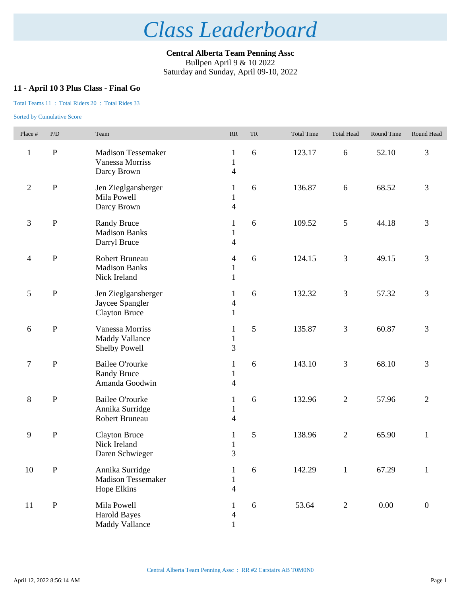**Central Alberta Team Penning Assc** Bullpen April 9 & 10 2022

Saturday and Sunday, April 09-10, 2022

### **11 - April 10 3 Plus Class - Final Go**

#### Total Teams 11 : Total Riders 20 : Total Rides 33

| Place #                  | $\rm P/D$    | Team                                                             | $\ensuremath{\mathsf{RR}}\xspace$                        | ${\rm TR}$ | <b>Total Time</b> | <b>Total Head</b> | Round Time | Round Head       |
|--------------------------|--------------|------------------------------------------------------------------|----------------------------------------------------------|------------|-------------------|-------------------|------------|------------------|
| $\mathbf{1}$             | ${\bf P}$    | <b>Madison Tessemaker</b><br>Vanessa Morriss<br>Darcy Brown      | 1<br>$\mathbf{1}$<br>$\overline{\mathcal{A}}$            | 6          | 123.17            | $6\,$             | 52.10      | 3                |
| $\overline{c}$           | ${\bf P}$    | Jen Zieglgansberger<br>Mila Powell<br>Darcy Brown                | 1<br>$\mathbf{1}$<br>$\overline{4}$                      | 6          | 136.87            | $6\,$             | 68.52      | $\mathfrak{Z}$   |
| $\mathfrak{Z}$           | $\, {\bf P}$ | <b>Randy Bruce</b><br><b>Madison Banks</b><br>Darryl Bruce       | 1<br>$\mathbf{1}$<br>$\overline{4}$                      | 6          | 109.52            | $\mathfrak{S}$    | 44.18      | 3                |
| $\overline{\mathcal{A}}$ | ${\bf P}$    | Robert Bruneau<br><b>Madison Banks</b><br>Nick Ireland           | $\overline{4}$<br>$\mathbf{1}$<br>$\mathbf{1}$           | 6          | 124.15            | 3                 | 49.15      | 3                |
| $\mathfrak{S}$           | $\, {\bf P}$ | Jen Zieglgansberger<br>Jaycee Spangler<br><b>Clayton Bruce</b>   | $\mathbf{1}$<br>$\overline{4}$<br>$\mathbf{1}$           | 6          | 132.32            | 3                 | 57.32      | 3                |
| 6                        | $\, {\bf P}$ | Vanessa Morriss<br><b>Maddy Vallance</b><br><b>Shelby Powell</b> | $\mathbf{1}$<br>$\mathbf{1}$<br>3                        | 5          | 135.87            | 3                 | 60.87      | 3                |
| $\tau$                   | ${\bf P}$    | <b>Bailee O'rourke</b><br><b>Randy Bruce</b><br>Amanda Goodwin   | $\mathbf{1}$<br>$\mathbf{1}$<br>$\overline{\mathcal{A}}$ | 6          | 143.10            | 3                 | 68.10      | 3                |
| $\,8\,$                  | ${\bf P}$    | <b>Bailee O'rourke</b><br>Annika Surridge<br>Robert Bruneau      | 1<br>$\mathbf{1}$<br>$\overline{\mathcal{A}}$            | 6          | 132.96            | $\mathfrak{2}$    | 57.96      | $\overline{2}$   |
| 9                        | $\, {\bf P}$ | <b>Clayton Bruce</b><br>Nick Ireland<br>Daren Schwieger          | $\mathbf{1}$<br>$\mathbf{1}$<br>3                        | 5          | 138.96            | $\mathfrak{2}$    | 65.90      | $\mathbf{1}$     |
| $10\,$                   | ${\bf P}$    | Annika Surridge<br><b>Madison Tessemaker</b><br>Hope Elkins      | $\mathbf{1}$<br>$\mathbf{1}$<br>$\overline{\mathcal{A}}$ | 6          | 142.29            | $\mathbf{1}$      | 67.29      | $\mathbf{1}$     |
| 11                       | ${\bf P}$    | Mila Powell<br><b>Harold Bayes</b><br><b>Maddy Vallance</b>      | $\mathbf{1}$<br>$\overline{4}$<br>$\mathbf{1}$           | 6          | 53.64             | $\mathbf{2}$      | $0.00\,$   | $\boldsymbol{0}$ |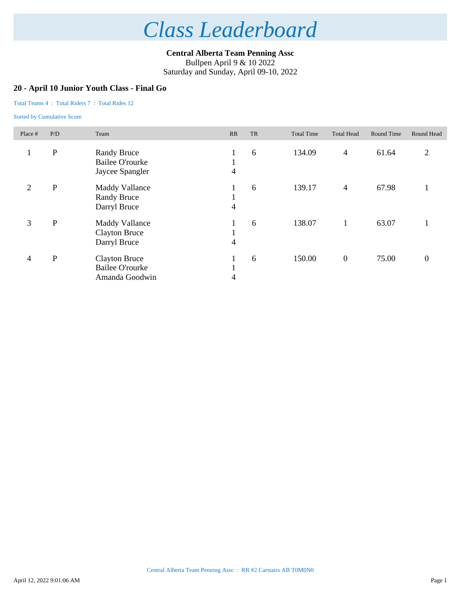**Central Alberta Team Penning Assc** Bullpen April 9 & 10 2022

Saturday and Sunday, April 09-10, 2022

### **20 - April 10 Junior Youth Class - Final Go**

#### Total Teams 4 : Total Riders 7 : Total Rides 12

| Place #        | P/D          | Team                                                             | RR             | <b>TR</b> | <b>Total Time</b> | <b>Total Head</b> | Round Time | Round Head     |
|----------------|--------------|------------------------------------------------------------------|----------------|-----------|-------------------|-------------------|------------|----------------|
| $\mathbf 1$    | $\mathbf P$  | <b>Randy Bruce</b><br><b>Bailee O'rourke</b><br>Jaycee Spangler  | 4              | 6         | 134.09            | $\overline{4}$    | 61.64      | 2              |
| $\overline{2}$ | $\mathbf{P}$ | <b>Maddy Vallance</b><br><b>Randy Bruce</b><br>Darryl Bruce      | $\overline{4}$ | 6         | 139.17            | $\overline{4}$    | 67.98      |                |
| 3              | $\, {\bf P}$ | <b>Maddy Vallance</b><br><b>Clayton Bruce</b><br>Darryl Bruce    | 4              | 6         | 138.07            |                   | 63.07      |                |
| 4              | ${\bf P}$    | <b>Clayton Bruce</b><br><b>Bailee O'rourke</b><br>Amanda Goodwin | 4              | 6         | 150.00            | $\boldsymbol{0}$  | 75.00      | $\overline{0}$ |